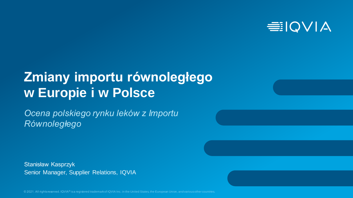

# **Zmiany importu równoległego w Europie i w Polsce**

*Ocena polskiego rynku leków z Importu Równoległego*

Stanisław Kasprzyk Senior Manager, Supplier Relations, IQVIA

© 2021. All rights reserved. IQVIA® is a registered trademark of IQVIA Inc. in the United States, the European Union, and various other countries.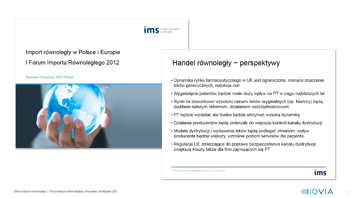

Import równoległy w Polsce i Europie I Forum Importu Równoległego 2012

#### Stanisław Kasprzyk, IMS Poland



#### Handel równoległy – perspektywy

- Dynamika rynku farmaceutycznego w UE jest ograniczona; rosnące znaczenie leków generycznych, redukcja cen
- . Wygaśnięcie patentów będzie miało duży wpływ na PT w ciągu najbliższych lat
- Rynki ze stosunkowo wysokimi cenami leków oryginalnych (np. Niemcy) będą poddane dalszym reformom, działaniom oszczędnościowym
- PT będzie wzrastał, ale trudno będzie utrzymać wysoką dynamikę
- · Działania producentów będą zmierzały do większej kontroli kanału dystrybucji
- · Modele dystrybucji i wydawania leków będą podlegać zmianom; wpływ producenta będzie większy, wzrośnie poziom serwisów dla pacjenta
- Regulacje UE zmierzające do poprawy bezpieczeństwa kanału dystrybucji zwiększą koszty także dla firm zajmujących się PT

Forum Importu Równoległego, Warszawa, 22 maja 2012

#### ims

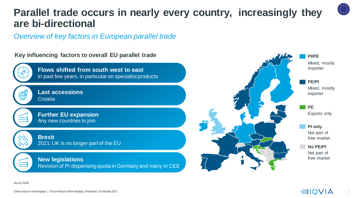## **Parallel trade occurs in nearly every country, increasingly they are bi-directional**

*Overview of key factors in European parallel trade*

**Key influencing factors to overall EU parallel trade** 



**Flows shifted from south west to east**  In past few years, in particular on specialist products



**Last accessions Croatia** 



**Further EU expansion** Any new countries to join



**Brexit** 2021: UK is no longer part of the EU

#### **New legislations**

Revision of PI dispensing quota in Germany and many in CEE



Source: IQVIA

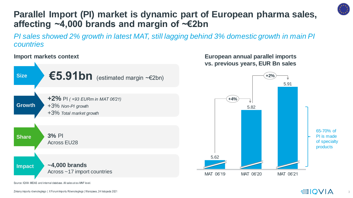

#### **Parallel Import (PI) market is dynamic part of European pharma sales, affecting ~4,000 brands and margin of ~€2bn**

*PI sales showed 2% growth in latest MAT, still lagging behind 3% domestic growth in main PI countries*



Source: IQVIA MIDAS and internal database. All sales at ex-MNF level.

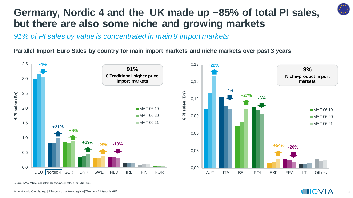

## **Germany, Nordic 4 and the UK made up ~85% of total PI sales, but there are also some niche and growing markets**

*91% of PI sales by value is concentrated in main 8 import markets*

**Parallel Import Euro Sales by country for main import markets and niche markets over past 3 years**



Source: IQVIA MIDAS and internal database. All sales at ex-MNF level.

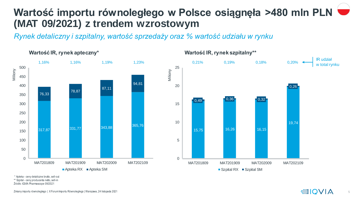## **Wartość importu równoległego w Polsce osiągnęła >480 mln PLN (MAT 09/2021) z trendem wzrostowym**

*Rynek detaliczny i szpitalny, wartość sprzedaży oraz % wartość udziału w rynku* 



\* Apteka - ceny detaliczne brutto, sell-out \*\* Szpital - ceny producenta netto, sell-in

Źródło :IQVIA Pharmascope 09/2021

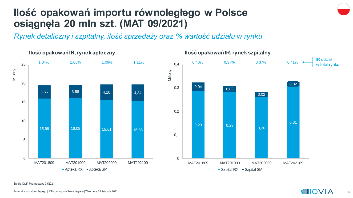## **Ilość opakowań importu równoległego w Polsce osiągnęła 20 mln szt. (MAT 09/2021)**

*Rynek detaliczny i szpitalny, ilość sprzedaży oraz % wartość udziału w rynku* 



Źródło :IQVIA Pharmascope 09/2021

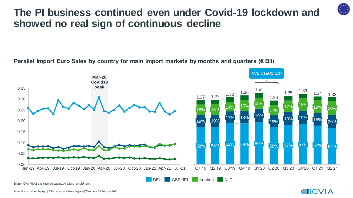#### **The PI business continued even under Covid-19 lockdown and showed no real sign of continuous decline**

#### **Parallel Import Euro Sales by country for main import markets by months and quarters (€ Bil)**



Source: IQVIA MIDAS and internal database. All sales at ex-MNF level.

Zmiany importu równoległego | X Forum Importu Równoległego | Warszawa, 24 listopada 2021

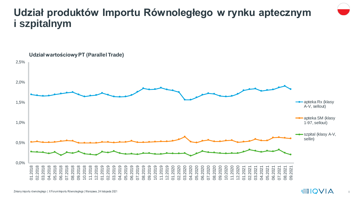#### **Udział produktów Importu Równoległego w rynku aptecznym i szpitalnym**



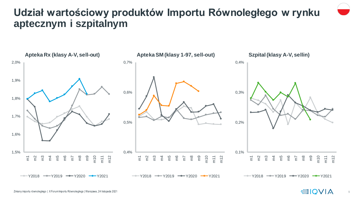## **Udział wartościowy produktów Importu Równoległego w rynku aptecznym i szpitalnym**



9

**EIQVIA**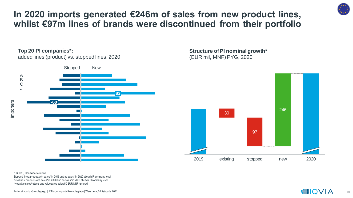\*Negative sales/returns and value sales below 50 EUR MNF ignored

Stopped lines: product with sales\* in 2019 and no sales\* in 2020 at each PI company level New lines: products with sales\* in 2020 and no sales\* in 2019 at each PI company level

\*UK, IRE, Denmark excluded

**In 2020 imports generated €246m of sales from new product lines, whilst €97m lines of brands were discontinued from their portfolio**

#### **Top 20 PI companies\*:**

added lines (product) vs. stopped lines, 2020



**Structure of PI nominal growth\***  (EUR mil, MNF) PYG, 2020





Zmiany importu równoległego | X Forum Importu Równoległego | Warszawa, 24 listopada 2021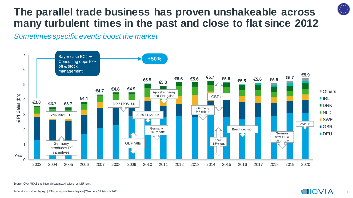## **The parallel trade business has proven unshakeable across many turbulent times in the past and close to flat since 2012**

*Sometimes specific events boost the market*



Source: IQVIA MIDAS and internal database. All sales at ex-MNF level.

Zmiany importu równoległego | X Forum Importu Równoległego | Warszawa, 24 listopada 2021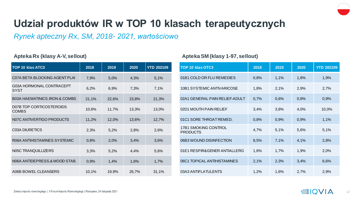

## **Udział produktów IR w TOP 10 klasach terapeutycznych**

*Rynek apteczny Rx, SM, 2018- 2021, wartościowo*

| <b>TOP 10 klas ATC3</b>                  | 2018  | 2019  | 2020  | <b>YTD 202109</b> |
|------------------------------------------|-------|-------|-------|-------------------|
| C07A BETA BLOCKING AGENT PLAI            | 7,9%  | 5,0%  | 4,3%  | 5,1%              |
| G03A HORMONAL CONTRACEPT<br>SYST         | 6,2%  | 6,9%  | 7,3%  | 7,1%              |
| <b>B03A HAEMATINICS.IRON &amp; COMBS</b> | 21,1% | 22,6% | 23,8% | 21,3%             |
| D07B TOP CORTICOSTEROIDS<br><b>COMBS</b> | 10,6% | 11,7% | 13,3% | 13,0%             |
| N07C ANTIVERTIGO PRODUCTS                | 11,2% | 12,0% | 13,6% | 12,7%             |
| <b>C03A DIURETICS</b>                    | 2,3%  | 5,2%  | 2,8%  | 2,6%              |
| R06A ANTIHISTAMINES SYSTEMIC             | 0,8%  | 2,0%  | 3,4%  | 3,6%              |
| N05C TRANQUILLIZERS                      | 3,3%  | 5,2%  | 4,4%  | 5,6%              |
| N06A ANTIDEPRESS.& MOOD STAB.            | 0,9%  | 1,4%  | 1,6%  | 1,7%              |
| A06B BOWEL CLEANSERS                     | 10,1% | 19,9% | 26,7% | 31,1%             |

#### **Apteka Rx (klasy A-V, sellout) Apteka SM (klasy 1-97, sellout)**

| TOP 10 klas OTC3                        | 2018 | 2019 | 2020 | <b>YTD 202109</b> |
|-----------------------------------------|------|------|------|-------------------|
| 01B1 COLD OR FLU REMEDIES               | 0,8% | 1,1% | 1,8% | 1,9%              |
| 10B1 SYSTEMIC ANTIVARICOSE              | 1,8% | 2,1% | 2,9% | 2,7%              |
| 02A1 GENERAL PAIN RELIEF-ADULT          | 0,7% | 0,6% | 0,8% | 0,9%              |
| 02D1 MOUTH PAIN RELIEF                  | 3,4% | 3,8% | 4,0% | 10,0%             |
| 01C1 SORE THROAT REMED.                 | 0,8% | 0,9% | 0,9% | 1,1%              |
| 17B1 SMOKING CONTROL<br><b>PRODUCTS</b> | 4,7% | 5,1% | 5,6% | 5,1%              |
| 06B3 WOUND DISINFECTION                 | 8,5% | 7,1% | 4,1% | 2,8%              |
| 01E1 RESPIR&GENER ANTIALLERG            | 1,6% | 1,7% | 1,9% | 2,0%              |
| 06C1 TOPICAL ANTIHISTAMINES             | 2,1% | 2,3% | 3,4% | 6,6%              |
| 03A3 ANTIFLATULENTS                     | 1,2% | 1,6% | 2,7% | 2,9%              |

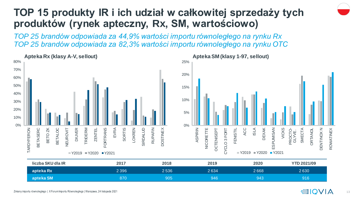## **TOP 15 produkty IR i ich udział w całkowitej sprzedaży tych produktów (rynek apteczny, Rx, SM, wartościowo)**

*TOP 25 brandów odpowiada za 44,9% wartości importu równoległego na rynku Rx TOP 25 brandów odpowiada za 82,3% wartości importu równoległego na rynku OTC* 



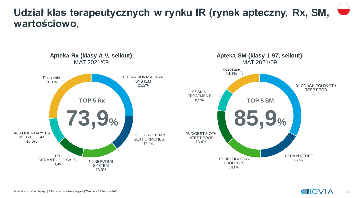#### **Udział klas terapeutycznych w rynku IR (rynek apteczny, Rx, SM, wartościowo,**



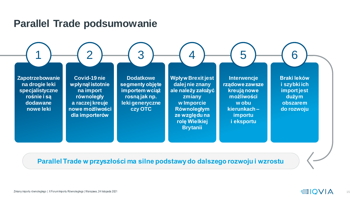#### **Parallel Trade podsumowanie**

**Zapotrzebowanie na drogie leki specjalistyczne rośnie i są dodawane nowe leki**

1

**Covid-19 nie wpłynął istotnie na import równoległy a raczej kreuje nowe możliwości dla importerów**

**Dodatkowe segmenty objęte importem wciąż rosną jak np. leki generyczne czy OTC**

**Wpływ Brexit jest dalej nie znany ale należy założyć zmiany w Imporcie Równoległym ze względu na rolę Wielkiej Brytanii**

2  $(3)$   $(4)$   $(5)$   $(6)$ 

**Interwencje rządowe zawsze kreują nowe możliwości w obu kierunkach – importu i eksportu**

**Braki leków i szybki ich import jest dużym obszarem do rozwoju**

**Parallel Trade w przyszłości ma silne podstawy do dalszego rozwoju i wzrostu**